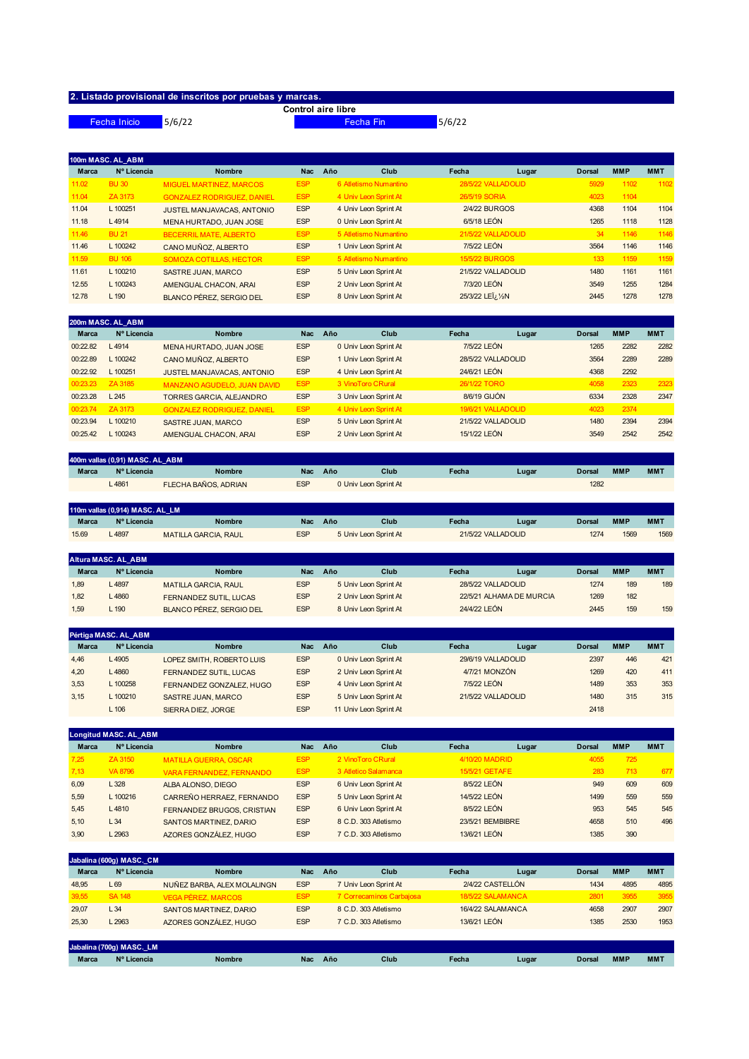## **2. Listado provisional de inscritos por pruebas y marcas.**

Fecha Inicio 5/6/22

**Control aire libre**

Fecha Fin 5/6/22

|              | 100m MASC. AL ABM |                                   |            |                       |                       |       |               |            |            |
|--------------|-------------------|-----------------------------------|------------|-----------------------|-----------------------|-------|---------------|------------|------------|
| <b>Marca</b> | Nº Licencia       | <b>Nombre</b>                     | <b>Nac</b> | Año<br>Club           | Fecha                 | Lugar | <b>Dorsal</b> | <b>MMP</b> | <b>MMT</b> |
| 11.02        | <b>BU 30</b>      | <b>MIGUEL MARTINEZ, MARCOS</b>    | <b>ESP</b> | 6 Atletismo Numantino | 28/5/22 VALLADOLID    |       | 5929          | 1102       | 1102       |
| 11.04        | ZA 3173           | <b>GONZALEZ RODRIGUEZ, DANIEL</b> | <b>ESP</b> | 4 Univ Leon Sprint At | 26/5/19 SORIA         |       | 4023          | 1104       |            |
| 11.04        | L 100251          | JUSTEL MANJAVACAS, ANTONIO        | <b>ESP</b> | 4 Univ Leon Sprint At | 2/4/22 BURGOS         |       | 4368          | 1104       | 1104       |
| 11.18        | L4914             | MENA HURTADO, JUAN JOSE           | <b>ESP</b> | 0 Univ Leon Sprint At | 6/5/18 LEÓN           |       | 1265          | 1118       | 1128       |
| 11.46        | <b>BU 21</b>      | <b>BECERRIL MATE, ALBERTO</b>     | <b>ESP</b> | 5 Atletismo Numantino | 21/5/22 VALLADOLID    |       | 34            | 1146       | 1146       |
| 11.46        | L 100242          | CANO MUÑOZ, ALBERTO               | <b>ESP</b> | 1 Univ Leon Sprint At | 7/5/22 LEÓN           |       | 3564          | 1146       | 1146       |
| 11.59        | <b>BU 106</b>     | SOMOZA COTILLAS, HECTOR           | <b>ESP</b> | 5 Atletismo Numantino | <b>15/5/22 BURGOS</b> |       | 133           | 1159       | 1159       |
| 11.61        | $L$ 100210        | SASTRE JUAN, MARCO                | <b>ESP</b> | 5 Univ Leon Sprint At | 21/5/22 VALLADOLID    |       | 1480          | 1161       | 1161       |
| 12.55        | L 100243          | AMENGUAL CHACON, ARAI             | <b>ESP</b> | 2 Univ Leon Sprint At | 7/3/20 LEÓN           |       | 3549          | 1255       | 1284       |
| 12.78        | L 190             | <b>BLANCO PÉREZ, SERGIO DEL</b>   | <b>ESP</b> | 8 Univ Leon Sprint At | 25/3/22 LEI; 1/2N     |       | 2445          | 1278       | 1278       |
|              |                   |                                   |            |                       |                       |       |               |            |            |

|              | 200m MASC. AL ABM |                                    |            |                       |                    |       |               |            |            |
|--------------|-------------------|------------------------------------|------------|-----------------------|--------------------|-------|---------------|------------|------------|
| <b>Marca</b> | Nº Licencia       | <b>Nombre</b>                      | Nac        | Año<br>Club           | Fecha              | Lugar | <b>Dorsal</b> | <b>MMP</b> | <b>MMT</b> |
| 00:22.82     | L4914             | MENA HURTADO, JUAN JOSE            | <b>ESP</b> | 0 Univ Leon Sprint At | 7/5/22 LEÓN        |       | 1265          | 2282       | 2282       |
| 00:22.89     | L 100242          | CANO MUÑOZ, ALBERTO                | <b>ESP</b> | 1 Univ Leon Sprint At | 28/5/22 VALLADOLID |       | 3564          | 2289       | 2289       |
| 00:22.92     | L 100251          | JUSTEL MANJAVACAS, ANTONIO         | <b>ESP</b> | 4 Univ Leon Sprint At | 24/6/21 LEÓN       |       | 4368          | 2292       |            |
| 00:23.23     | ZA 3185           | <b>MANZANO AGUDELO, JUAN DAVID</b> | <b>ESP</b> | 3 VinoToro CRural     | 26/1/22 TORO       |       | 4058          | 2323       | 2323       |
| 00:23.28     | L245              | TORRES GARCIA, ALEJANDRO           | <b>ESP</b> | 3 Univ Leon Sprint At | 8/6/19 GIJÓN       |       | 6334          | 2328       | 2347       |
| 00:23.74     | ZA 3173           | <b>GONZALEZ RODRIGUEZ, DANIEL</b>  | <b>ESP</b> | 4 Univ Leon Sprint At | 19/6/21 VALLADOLID |       | 4023          | 2374       |            |
| 00:23.94     | $L$ 100210        | SASTRE JUAN, MARCO                 | <b>ESP</b> | 5 Univ Leon Sprint At | 21/5/22 VALLADOLID |       | 1480          | 2394       | 2394       |
| 00:25.42     | 100243            | AMENGUAL CHACON, ARAI              | <b>ESP</b> | 2 Univ Leon Sprint At | 15/1/22 LEÓN       |       | 3549          | 2542       | 2542       |

| 400m vallas (0,91) MASC. AL ABM |             |                      |            |     |                       |       |       |               |            |                 |  |  |  |
|---------------------------------|-------------|----------------------|------------|-----|-----------------------|-------|-------|---------------|------------|-----------------|--|--|--|
| <b>Marca</b>                    | Nº Licencia | <b>Nombre</b>        | Nac        | Año | Club                  | Fecha | Lugar | <b>Dorsal</b> | <b>MMP</b> | MM <sub>1</sub> |  |  |  |
|                                 | $-4861$     | FLECHA BAÑOS, ADRIAN | <b>ESP</b> |     | 0 Univ Leon Sprint At |       |       | 1282          |            |                 |  |  |  |

| 110m vallas (0,914) MASC. AL LM |             |                             |            |     |                       |                    |       |        |            |            |  |  |
|---------------------------------|-------------|-----------------------------|------------|-----|-----------------------|--------------------|-------|--------|------------|------------|--|--|
| <b>Marca</b>                    | Nº Licencia | <b>Nombre</b>               | Nac        | Año | Club                  | Fecha              | Lugar | Dorsal | <b>MMP</b> | <b>MMT</b> |  |  |
| 15.69                           | 4897        | <b>MATILLA GARCIA, RAUL</b> | <b>ESP</b> |     | 5 Univ Leon Sprint At | 21/5/22 VALLADOLID |       | 1274   | 1569       | 1569       |  |  |

|              | <b>Altura MASC, AL ABM</b> |                               |            |                       |                    |                          |               |            |            |  |  |  |  |
|--------------|----------------------------|-------------------------------|------------|-----------------------|--------------------|--------------------------|---------------|------------|------------|--|--|--|--|
| <b>Marca</b> | Nº Licencia                | <b>Nombre</b>                 | Nac        | Club<br>Año           | Fecha              | Lugar                    | <b>Dorsal</b> | <b>MMP</b> | <b>MMT</b> |  |  |  |  |
| 1.89         | $-4897$                    | <b>MATILLA GARCIA, RAUL</b>   | <b>ESP</b> | 5 Univ Leon Sprint At | 28/5/22 VALLADOLID |                          | 1274          | 189        | 189        |  |  |  |  |
| 1.82         | -4860                      | <b>FERNANDEZ SUTIL, LUCAS</b> | <b>ESP</b> | 2 Univ Leon Sprint At |                    | 22/5/21 ALHAMA DE MURCIA | 1269          | 182        |            |  |  |  |  |
| 1.59         | $-190$                     | BLANCO PÉREZ. SERGIO DEL      | <b>ESP</b> | 8 Univ Leon Sprint At | 24/4/22 LEÓN       |                          | 2445          | 159        | 159        |  |  |  |  |
|              |                            |                               |            |                       |                    |                          |               |            |            |  |  |  |  |

|              | Pértiga MASC. AL ABM |                           |            |                        |                    |       |               |            |            |
|--------------|----------------------|---------------------------|------------|------------------------|--------------------|-------|---------------|------------|------------|
| <b>Marca</b> | Nº Licencia          | <b>Nombre</b>             | Nac        | Club<br>Año            | Fecha              | Lugar | <b>Dorsal</b> | <b>MMP</b> | <b>MMT</b> |
| 4,46         | $-4905$              | LOPEZ SMITH, ROBERTO LUIS | <b>ESP</b> | 0 Univ Leon Sprint At  | 29/6/19 VALLADOLID |       | 2397          | 446        | 421        |
| 4,20         | -4860                | FERNANDEZ SUTIL, LUCAS    | <b>ESP</b> | 2 Univ Leon Sprint At  | 4/7/21 MONZÓN      |       | 1269          | 420        | 411        |
| 3.53         | L 100258             | FERNANDEZ GONZALEZ, HUGO  | <b>ESP</b> | 4 Univ Leon Sprint At  | 7/5/22 LEÓN        |       | 1489          | 353        | 353        |
| 3.15         | L 100210             | SASTRE JUAN, MARCO        | <b>ESP</b> | 5 Univ Leon Sprint At  | 21/5/22 VALLADOLID |       | 1480          | 315        | 315        |
|              | $L$ 106              | SIERRA DIEZ, JORGE        | <b>ESP</b> | 11 Univ Leon Sprint At |                    |       | 2418          |            |            |

|              | <b>Longitud MASC. AL ABM</b> |                                 |            |                       |                  |       |               |            |            |
|--------------|------------------------------|---------------------------------|------------|-----------------------|------------------|-------|---------------|------------|------------|
| <b>Marca</b> | Nº Licencia                  | <b>Nombre</b>                   | Nac.       | Club<br>Año           | Fecha            | Lugar | <b>Dorsal</b> | <b>MMP</b> | <b>MMT</b> |
| 7,25         | ZA 3150                      | <b>MATILLA GUERRA, OSCAR</b>    | <b>ESP</b> | 2 VinoToro CRural     | 4/10/20 MADRID   |       | 4055          | 725        |            |
| 7,13         | VA 8796                      | <b>VARA FERNANDEZ, FERNANDO</b> | <b>ESP</b> | 3 Atletico Salamanca  | 15/5/21 GETAFE   |       | 283           | 713        | 677        |
| 6,09         | L328                         | ALBA ALONSO, DIEGO              | <b>ESP</b> | 6 Univ Leon Sprint At | 8/5/22 LEÓN      |       | 949           | 609        | 609        |
| 5,59         | L 100216                     | CARREÑO HERRAEZ, FERNANDO       | <b>ESP</b> | 5 Univ Leon Sprint At | 14/5/22 LEÓN     |       | 1499          | 559        | 559        |
| 5,45         | L4810                        | FERNANDEZ BRUGOS, CRISTIAN      | <b>ESP</b> | 6 Univ Leon Sprint At | 8/5/22 LEÓN      |       | 953           | 545        | 545        |
| 5,10         | L34                          | SANTOS MARTINEZ, DARIO          | <b>ESP</b> | 8 C.D. 303 Atletismo  | 23/5/21 BEMBIBRE |       | 4658          | 510        | 496        |
| 3,90         | L 2963                       | AZORES GONZÁLEZ, HUGO           | <b>ESP</b> | 7 C.D. 303 Atletismo  | 13/6/21 LEÓN     |       | 1385          | 390        |            |

|              | Jabalina (600g) MASC. CM |                             |            |                          |                   |       |               |            |            |  |  |  |  |  |
|--------------|--------------------------|-----------------------------|------------|--------------------------|-------------------|-------|---------------|------------|------------|--|--|--|--|--|
| <b>Marca</b> | Nº Licencia              | <b>Nombre</b>               | Nac.       | Año<br>Club              | Fecha             | Lugar | <b>Dorsal</b> | <b>MMP</b> | <b>MMT</b> |  |  |  |  |  |
| 48.95        | L <sub>69</sub>          | NUÑEZ BARBA, ALEX MOLALINGN | <b>ESP</b> | 7 Univ Leon Sprint At    | 2/4/22 CASTELLÓN  |       | 1434          | 4895       | 4895       |  |  |  |  |  |
| 39,55        | <b>SA 148</b>            | <b>VEGA PÉREZ, MARCOS</b>   | <b>ESP</b> | 7 Correcaminos Carbajosa | 18/5/22 SALAMANCA |       | 2801          | 3955       | 3955       |  |  |  |  |  |
| 29,07        | L34                      | SANTOS MARTINEZ, DARIO      | <b>ESP</b> | 8 C.D. 303 Atletismo     | 16/4/22 SALAMANCA |       | 4658          | 2907       | 2907       |  |  |  |  |  |
| 25.30        | L 2963                   | AZORES GONZÁLEZ, HUGO       | <b>ESP</b> | 7 C.D. 303 Atletismo     | 13/6/21 LEÓN      |       | 1385          | 2530       | 1953       |  |  |  |  |  |

|              | Jabalina (700g) MASC._LM |               |     |     |      |       |       |               |            |                 |
|--------------|--------------------------|---------------|-----|-----|------|-------|-------|---------------|------------|-----------------|
| <b>Marca</b> | Nº Licencia              | <b>Nombre</b> | Nac | Año | Club | Fecha | Lugar | <b>Dorsal</b> | <b>MMF</b> | MM <sub>1</sub> |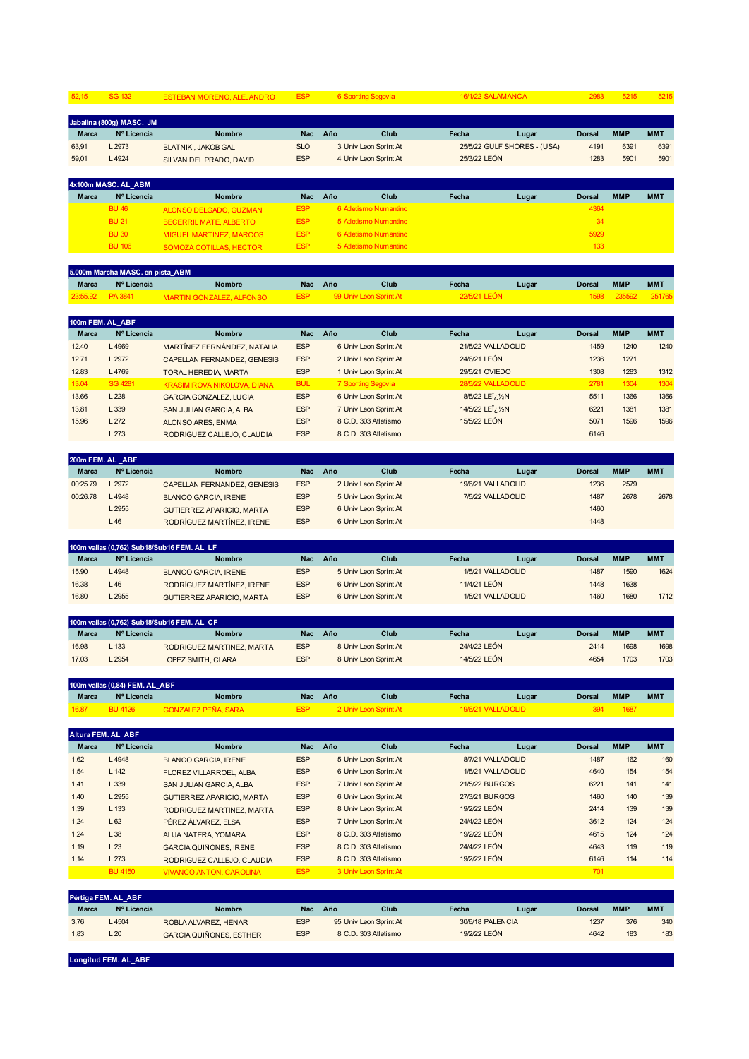| 52,15             | <b>SG 132</b>                    | ESTEBAN MORENO, ALEJANDRO                                         | <b>ESP</b>               | 6 Sporting Segovia                             | 16/1/22 SALAMANCA                        |                             | 2983                  | 5215                 | 5215                 |
|-------------------|----------------------------------|-------------------------------------------------------------------|--------------------------|------------------------------------------------|------------------------------------------|-----------------------------|-----------------------|----------------------|----------------------|
|                   | Jabalina (800g) MASC. JM         |                                                                   |                          |                                                |                                          |                             |                       |                      |                      |
| Marca             | Nº Licencia                      | Nombre                                                            | Nac                      | Año<br>Club                                    | Fecha                                    | Lugar                       | Dorsal                | <b>MMP</b>           | <b>MMT</b>           |
| 63,91             | L 2973                           | <b>BLATNIK, JAKOB GAL</b>                                         | <b>SLO</b>               | 3 Univ Leon Sprint At                          |                                          | 25/5/22 GULF SHORES - (USA) | 4191                  | 6391                 | 6391                 |
| 59,01             | L 4924                           | SILVAN DEL PRADO, DAVID                                           | <b>ESP</b>               | 4 Univ Leon Sprint At                          | 25/3/22 LEÓN                             |                             | 1283                  | 5901                 | 5901                 |
|                   | 4x100m MASC. AL_ABM              |                                                                   |                          |                                                |                                          |                             |                       |                      |                      |
| Marca             | Nº Licencia                      | <b>Nombre</b>                                                     | Nac                      | Año<br>Club                                    | Fecha                                    | Lugar                       | <b>Dorsal</b>         | <b>MMP</b>           | <b>MMT</b>           |
|                   | <b>BU 46</b>                     | <b>ALONSO DELGADO, GUZMAN</b>                                     | <b>ESP</b>               | 6 Atletismo Numantino                          |                                          |                             | 4364                  |                      |                      |
|                   | <b>BU 21</b>                     | <b>BECERRIL MATE, ALBERTO</b>                                     | <b>ESP</b>               | 5 Atletismo Numantino                          |                                          |                             | 34                    |                      |                      |
|                   | <b>BU 30</b><br><b>BU 106</b>    | <b>MIGUEL MARTINEZ, MARCOS</b><br>SOMOZA COTILLAS, HECTOR         | <b>ESP</b><br><b>ESP</b> | 6 Atletismo Numantino<br>5 Atletismo Numantino |                                          |                             | 5929<br>133           |                      |                      |
|                   |                                  |                                                                   |                          |                                                |                                          |                             |                       |                      |                      |
|                   | 5.000m Marcha MASC. en pista_ABM |                                                                   |                          |                                                |                                          |                             |                       |                      |                      |
| Marca<br>23:55.92 | Nº Licencia<br>PA 3841           | <b>Nombre</b><br><b>MARTIN GONZALEZ, ALFONSO</b>                  | <b>Nac</b><br><b>ESP</b> | Año<br>Club<br>99 Univ Leon Sprint At          | Fecha<br>22/5/21 LEÓN                    | Lugar                       | <b>Dorsal</b><br>1598 | <b>MMP</b><br>235592 | <b>MMT</b><br>251765 |
|                   |                                  |                                                                   |                          |                                                |                                          |                             |                       |                      |                      |
| Marca             | 100m FEM. AL_ABF<br>Nº Licencia  | Nombre                                                            | Nac                      | Año<br>Club                                    | Fecha                                    | Lugar                       | Dorsal                | <b>MMP</b>           | <b>MMT</b>           |
| 12.40             | L4969                            |                                                                   | <b>ESP</b>               | 6 Univ Leon Sprint At                          | 21/5/22 VALLADOLID                       |                             | 1459                  | 1240                 | 1240                 |
| 12.71             | L 2972                           | MARTÍNEZ FERNÁNDEZ, NATALIA<br><b>CAPELLAN FERNANDEZ, GENESIS</b> | <b>ESP</b>               | 2 Univ Leon Sprint At                          | 24/6/21 LEÓN                             |                             | 1236                  | 1271                 |                      |
| 12.83             | L 4769                           |                                                                   | <b>ESP</b>               | 1 Univ Leon Sprint At                          | 29/5/21 OVIEDO                           |                             | 1308                  | 1283                 | 1312                 |
| 13.04             | <b>SG 4281</b>                   | <b>TORAL HEREDIA, MARTA</b>                                       | <b>BUL</b>               | 7 Sporting Segovia                             | 28/5/22 VALLADOLID                       |                             | 2781                  | 1304                 | 1304                 |
| 13.66             | L 228                            | <b>KRASIMIROVA NIKOLOVA, DIANA</b>                                | <b>ESP</b>               | 6 Univ Leon Sprint At                          | 8/5/22 LEI <sub>i</sub> / <sub>2</sub> N |                             | 5511                  | 1366                 | 1366                 |
| 13.81             | L 339                            | <b>GARCIA GONZALEZ, LUCIA</b>                                     | <b>ESP</b>               | 7 Univ Leon Sprint At                          | 14/5/22 LEÏ¿ 1/2N                        |                             | 6221                  | 1381                 | 1381                 |
| 15.96             | L272                             | SAN JULIAN GARCIA, ALBA                                           | <b>ESP</b>               | 8 C.D. 303 Atletismo                           | 15/5/22 LEÓN                             |                             | 5071                  | 1596                 | 1596                 |
|                   | L 273                            | ALONSO ARES, ENMA<br>RODRIGUEZ CALLEJO, CLAUDIA                   | <b>ESP</b>               | 8 C.D. 303 Atletismo                           |                                          |                             | 6146                  |                      |                      |
|                   |                                  |                                                                   |                          |                                                |                                          |                             |                       |                      |                      |
|                   | 200m FEM. AL_ABF                 |                                                                   |                          |                                                |                                          |                             |                       |                      |                      |
| Marca             | Nº Licencia                      | <b>Nombre</b>                                                     | Nac                      | Año<br>Club                                    | Fecha                                    | Lugar                       | Dorsal                | <b>MMP</b>           | <b>MMT</b>           |
| 00:25.79          | L 2972                           | CAPELLAN FERNANDEZ, GENESIS                                       | <b>ESP</b>               | 2 Univ Leon Sprint At                          | 19/6/21 VALLADOLID                       |                             | 1236                  | 2579                 |                      |
| 00:26.78          | L 4948                           | <b>BLANCO GARCIA, IRENE</b>                                       | <b>ESP</b>               | 5 Univ Leon Sprint At                          | 7/5/22 VALLADOLID                        |                             | 1487                  | 2678                 | 2678                 |
|                   | L 2955                           | <b>GUTIERREZ APARICIO, MARTA</b>                                  | <b>ESP</b>               | 6 Univ Leon Sprint At                          |                                          |                             | 1460                  |                      |                      |
|                   | L46                              | RODRÍGUEZ MARTÍNEZ, IRENE                                         | <b>ESP</b>               | 6 Univ Leon Sprint At                          |                                          |                             | 1448                  |                      |                      |
|                   |                                  | 100m vallas (0,762) Sub18/Sub16 FEM. AL_LF                        |                          |                                                |                                          |                             |                       |                      |                      |
| Marca             | Nº Licencia                      | <b>Nombre</b>                                                     | <b>Nac</b>               | Año<br>Club                                    | Fecha                                    | Lugar                       | <b>Dorsal</b>         | <b>MMP</b>           | <b>MMT</b>           |
| 15.90             | L 4948                           | <b>BLANCO GARCIA, IRENE</b>                                       | <b>ESP</b>               | 5 Univ Leon Sprint At                          | 1/5/21 VALLADOLID                        |                             | 1487                  | 1590                 | 1624                 |
| 16.38             | L46                              | RODRÍGUEZ MARTÍNEZ, IRENE                                         | <b>ESP</b>               | 6 Univ Leon Sprint At                          | 11/4/21 LEÓN                             |                             | 1448                  | 1638                 |                      |
| 16.80             | L 2955                           | <b>GUTIERREZ APARICIO, MARTA</b>                                  | <b>ESP</b>               | 6 Univ Leon Sprint At                          | 1/5/21 VALLADOLID                        |                             | 1460                  | 1680                 | 1712                 |
|                   |                                  | 100m vallas (0,762) Sub18/Sub16 FEM. AL_CF                        |                          |                                                |                                          |                             |                       |                      |                      |
| <b>Marca</b>      | Nº Licencia                      | <b>Nombre</b>                                                     | <b>Nac</b>               | Año<br>Club                                    | Fecha                                    | Lugar                       | <b>Dorsal</b>         | <b>MMP</b>           | <b>MMT</b>           |
| 16.98             | L 133                            | RODRIGUEZ MARTINEZ, MARTA                                         | <b>ESP</b>               | 8 Univ Leon Sprint At                          | 24/4/22 LEÓN                             |                             | 2414                  | 1698                 | 1698                 |
| 17.03             | L 2954                           | LOPEZ SMITH, CLARA                                                | <b>ESP</b>               | 8 Univ Leon Sprint At                          | 14/5/22 LEÓN                             |                             | 4654                  | 1703                 | 1703                 |
|                   | 100m vallas (0,84) FEM. AL_ABF   |                                                                   |                          |                                                |                                          |                             |                       |                      |                      |
| Marca             | Nº Licencia                      | Nombre                                                            | Nac                      | Año<br>Club                                    | Fecha                                    | Lugar                       | Dorsal                | <b>MMP</b>           | <b>MMT</b>           |
| 16.87             | <b>BU 4126</b>                   | <b>GONZALEZ PEÑA, SARA</b>                                        | <b>ESP</b>               | 2 Univ Leon Sprint At                          | 19/6/21 VALLADOLID                       |                             | 394                   | <b>1687</b>          |                      |
|                   | Altura FEM. AL_ABF               |                                                                   |                          |                                                |                                          |                             |                       |                      |                      |
| Marca             | Nº Licencia                      | Nombre                                                            | Nac                      | Año<br>Club                                    | Fecha                                    | Lugar                       | Dorsal                | <b>MMP</b>           | <b>MMT</b>           |
| 1,62              | L 4948                           | <b>BLANCO GARCIA, IRENE</b>                                       | <b>ESP</b>               | 5 Univ Leon Sprint At                          | 8/7/21 VALLADOLID                        |                             | 1487                  | 162                  | 160                  |
| 1,54              | L 142                            | FLOREZ VILLARROEL, ALBA                                           | <b>ESP</b>               | 6 Univ Leon Sprint At                          | 1/5/21 VALLADOLID                        |                             | 4640                  | 154                  | 154                  |
| 1,41              | L 339                            | SAN JULIAN GARCIA, ALBA                                           | <b>ESP</b>               | 7 Univ Leon Sprint At                          | 21/5/22 BURGOS                           |                             | 6221                  | 141                  | 141                  |
|                   |                                  |                                                                   |                          |                                                |                                          |                             |                       |                      |                      |
|                   |                                  |                                                                   |                          |                                                |                                          |                             |                       |                      |                      |
| 1,40<br>1,39      | L 2955<br>L 133                  | <b>GUTIERREZ APARICIO, MARTA</b><br>RODRIGUEZ MARTINEZ, MARTA     | <b>ESP</b><br><b>ESP</b> | 6 Univ Leon Sprint At<br>8 Univ Leon Sprint At | 27/3/21 BURGOS<br>19/2/22 LEÓN           |                             | 1460<br>2414          | 140<br>139           | 139<br>139           |

1,24 L 62 PÉREZ ÁLVAREZ, ELSA ESP 7 Univ Leon Sprint At 24/4/22 LEÓN 3612 124 124

1,19 L 23 GARCIA QUIÑONES, IRENE ESP 8 C.D. 303 Atletismo 24/4/22 LEÓN 4643 119 119

**Marca Nº Licencia Nombre Nac Año Club Fecha Lugar Dorsal MMP MMT** 3,76 L 4504 ROBLA ALVAREZ, HENAR ESP 95 Univ Leon Sprint At 30/6/18 PALENCIA 1237 376 340 1,83 L 20 GARCIA QUIÑONES, ESTHER ESP 8 C.D. 303 Atletismo 19/2/22 LEÓN 4642 183 183

BU 4150 VIVANCO ANTON, CAROLINA ESP 3 Univ Leon Sprint At 701

1,14 L 273 RODRIGUEZ CALLEJO, CLAUDIA ESP 8 C.D. 303 Atletismo 19/2/22 LEÓN 6146 114 114

**Longitud FEM. AL\_ABF**

**Pértiga FEM. AL\_ABF**

ALIJA NATERA, YOMARA